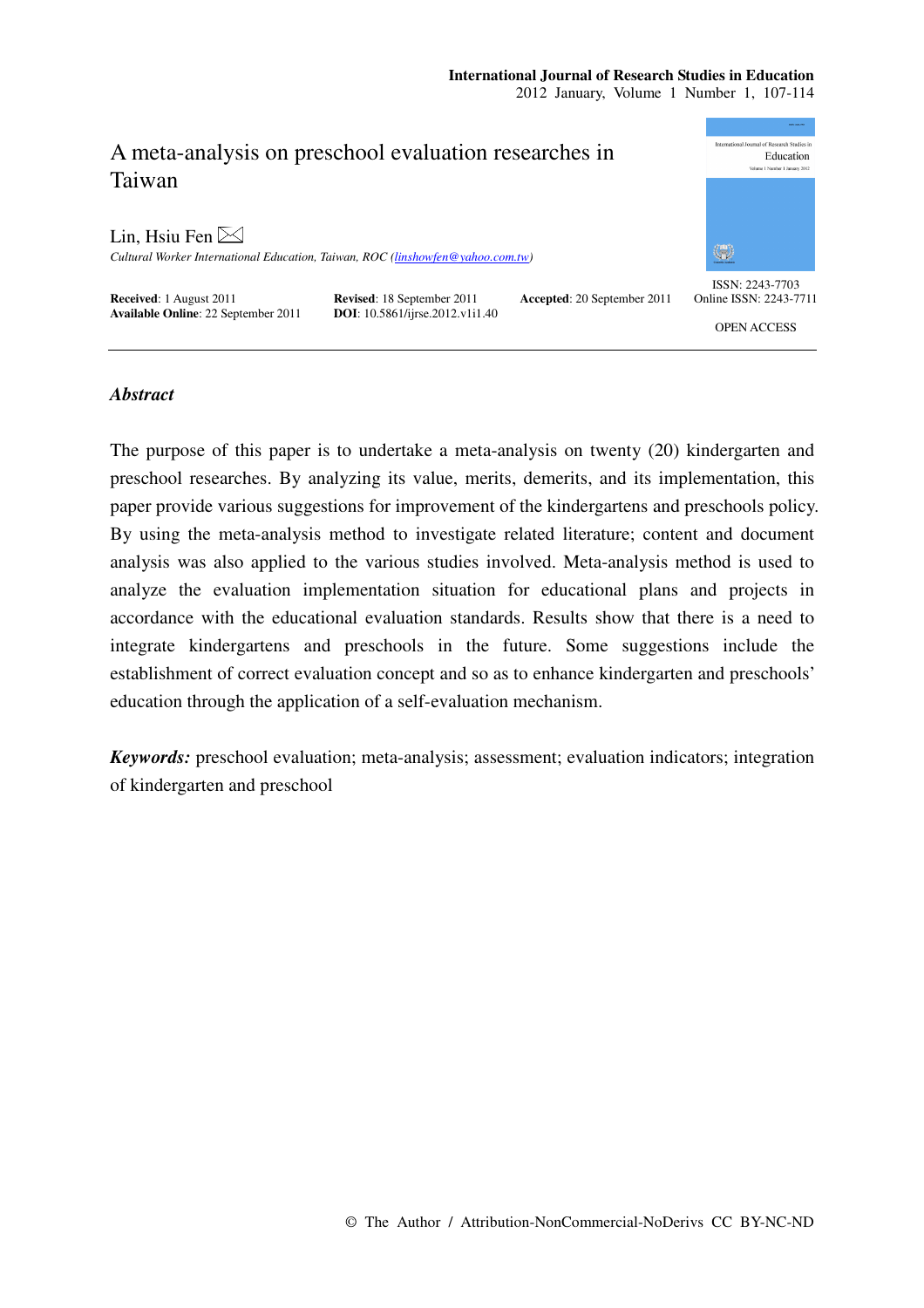# **International Journal of Research Studies in Education**

2012 January, Volume 1 Number 1, 107-114

# A meta-analysis on preschool evaluation researches in Taiwan

Lin, Hsiu Fen  $\boxtimes$ 

*Cultural Worker International Education, Taiwan, ROC (linshowfen@yahoo.com.tw)* 

**Received**: 1 August 2011 **Revised**: 18 September 2011 **Accepted**: 20 September 2011 **Available Online**: 22 September 2011 **DOI**: 10.5861/ijrse.2012.v1i1.40 **Available Online**: 22 September 2011



ISSN: 2243-7703 Online ISSN: 2243-7711

OPEN ACCESS

# *Abstract*

The purpose of this paper is to undertake a meta-analysis on twenty (20) kindergarten and preschool researches. By analyzing its value, merits, demerits, and its implementation, this paper provide various suggestions for improvement of the kindergartens and preschools policy. By using the meta-analysis method to investigate related literature; content and document analysis was also applied to the various studies involved. Meta-analysis method is used to analyze the evaluation implementation situation for educational plans and projects in accordance with the educational evaluation standards. Results show that there is a need to integrate kindergartens and preschools in the future. Some suggestions include the establishment of correct evaluation concept and so as to enhance kindergarten and preschools' education through the application of a self-evaluation mechanism.

*Keywords:* preschool evaluation; meta-analysis; assessment; evaluation indicators; integration of kindergarten and preschool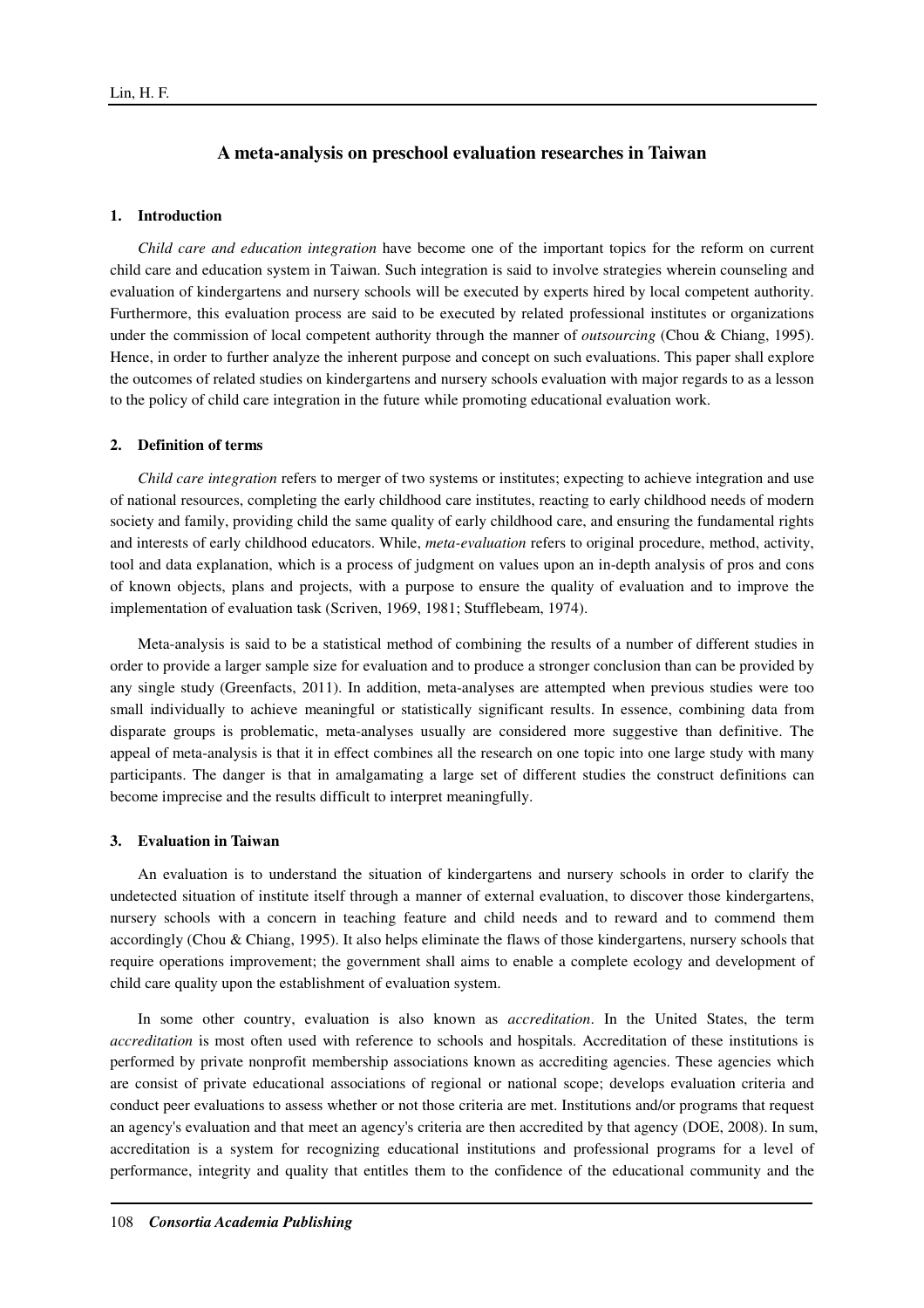# **A meta-analysis on preschool evaluation researches in Taiwan**

## **1. Introduction**

*Child care and education integration* have become one of the important topics for the reform on current child care and education system in Taiwan. Such integration is said to involve strategies wherein counseling and evaluation of kindergartens and nursery schools will be executed by experts hired by local competent authority. Furthermore, this evaluation process are said to be executed by related professional institutes or organizations under the commission of local competent authority through the manner of *outsourcing* (Chou & Chiang, 1995). Hence, in order to further analyze the inherent purpose and concept on such evaluations. This paper shall explore the outcomes of related studies on kindergartens and nursery schools evaluation with major regards to as a lesson to the policy of child care integration in the future while promoting educational evaluation work.

#### **2. Definition of terms**

*Child care integration* refers to merger of two systems or institutes; expecting to achieve integration and use of national resources, completing the early childhood care institutes, reacting to early childhood needs of modern society and family, providing child the same quality of early childhood care, and ensuring the fundamental rights and interests of early childhood educators. While, *meta-evaluation* refers to original procedure, method, activity, tool and data explanation, which is a process of judgment on values upon an in-depth analysis of pros and cons of known objects, plans and projects, with a purpose to ensure the quality of evaluation and to improve the implementation of evaluation task (Scriven, 1969, 1981; Stufflebeam, 1974).

Meta-analysis is said to be a statistical method of combining the results of a number of different studies in order to provide a larger sample size for evaluation and to produce a stronger conclusion than can be provided by any single study (Greenfacts, 2011). In addition, meta-analyses are attempted when previous studies were too small individually to achieve meaningful or statistically significant results. In essence, combining data from disparate groups is problematic, meta-analyses usually are considered more suggestive than definitive. The appeal of meta-analysis is that it in effect combines all the research on one topic into one large study with many participants. The danger is that in amalgamating a large set of different studies the construct definitions can become imprecise and the results difficult to interpret meaningfully.

#### **3. Evaluation in Taiwan**

An evaluation is to understand the situation of kindergartens and nursery schools in order to clarify the undetected situation of institute itself through a manner of external evaluation, to discover those kindergartens, nursery schools with a concern in teaching feature and child needs and to reward and to commend them accordingly (Chou & Chiang, 1995). It also helps eliminate the flaws of those kindergartens, nursery schools that require operations improvement; the government shall aims to enable a complete ecology and development of child care quality upon the establishment of evaluation system.

In some other country, evaluation is also known as *accreditation*. In the United States, the term *accreditation* is most often used with reference to schools and hospitals. Accreditation of these institutions is performed by private nonprofit membership associations known as accrediting agencies. These agencies which are consist of private educational associations of regional or national scope; develops evaluation criteria and conduct peer evaluations to assess whether or not those criteria are met. Institutions and/or programs that request an agency's evaluation and that meet an agency's criteria are then accredited by that agency (DOE, 2008). In sum, accreditation is a system for recognizing educational institutions and professional programs for a level of performance, integrity and quality that entitles them to the confidence of the educational community and the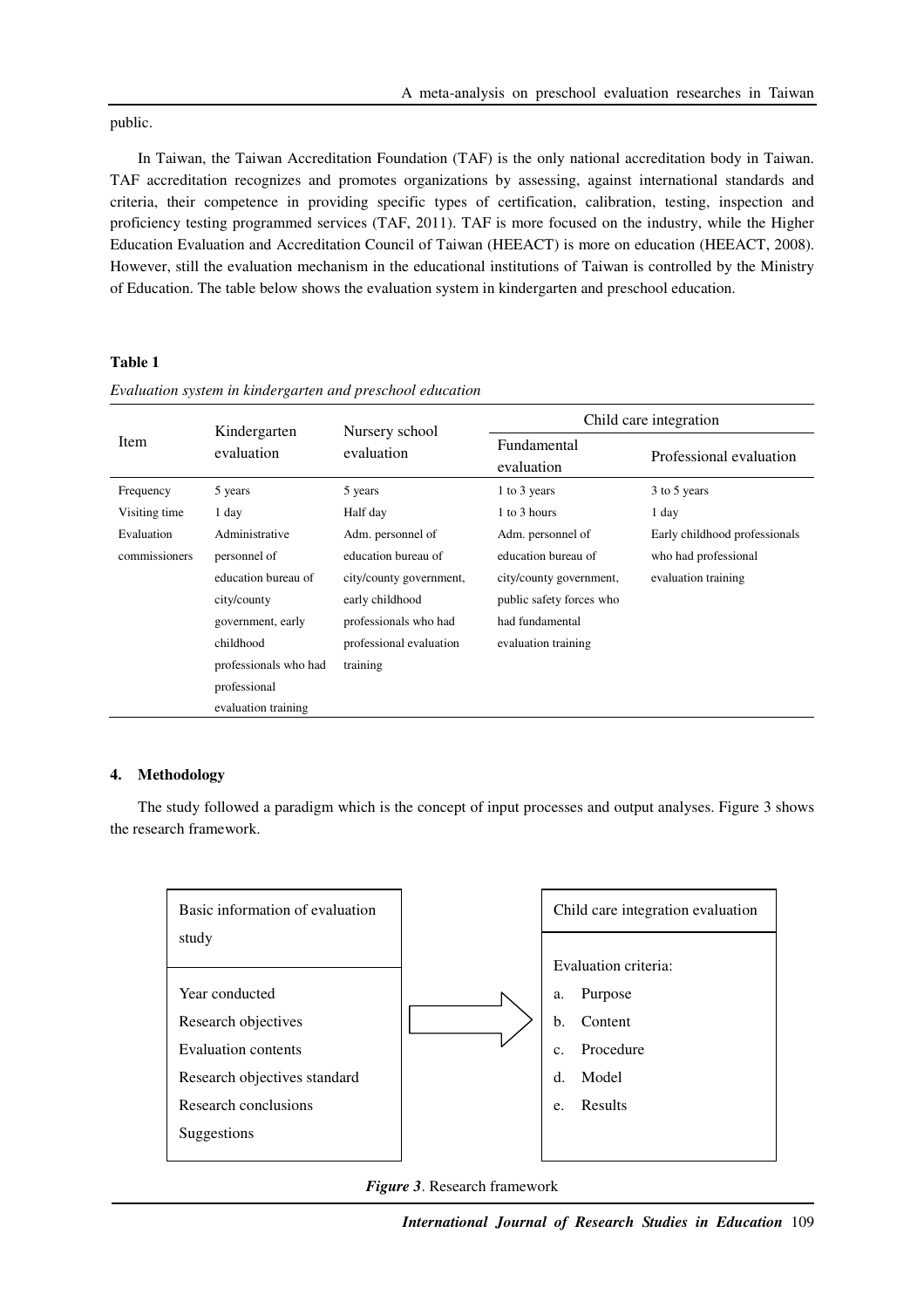public.

In Taiwan, the Taiwan Accreditation Foundation (TAF) is the only national accreditation body in Taiwan. TAF accreditation recognizes and promotes organizations by assessing, against international standards and criteria, their competence in providing specific types of certification, calibration, testing, inspection and proficiency testing programmed services (TAF, 2011). TAF is more focused on the industry, while the Higher Education Evaluation and Accreditation Council of Taiwan (HEEACT) is more on education (HEEACT, 2008). However, still the evaluation mechanism in the educational institutions of Taiwan is controlled by the Ministry of Education. The table below shows the evaluation system in kindergarten and preschool education.

# **Table 1**

| <b>Item</b>   | Kindergarten<br>evaluation | Nursery school<br>evaluation | Child care integration    |                               |
|---------------|----------------------------|------------------------------|---------------------------|-------------------------------|
|               |                            |                              | Fundamental<br>evaluation | Professional evaluation       |
| Frequency     | 5 years                    | 5 years                      | 1 to 3 years              | 3 to 5 years                  |
| Visiting time | 1 day                      | Half day                     | 1 to 3 hours              | 1 day                         |
| Evaluation    | Administrative             | Adm. personnel of            | Adm. personnel of         | Early childhood professionals |
| commissioners | personnel of               | education bureau of          | education bureau of       | who had professional          |
|               | education bureau of        | city/county government,      | city/county government,   | evaluation training           |
|               | city/county                | early childhood              | public safety forces who  |                               |
|               | government, early          | professionals who had        | had fundamental           |                               |
|               | childhood                  | professional evaluation      | evaluation training       |                               |
|               | professionals who had      | training                     |                           |                               |
|               | professional               |                              |                           |                               |
|               | evaluation training        |                              |                           |                               |

*Evaluation system in kindergarten and preschool education* 

#### **4. Methodology**

The study followed a paradigm which is the concept of input processes and output analyses. Figure 3 shows the research framework.



*Figure 3*. Research framework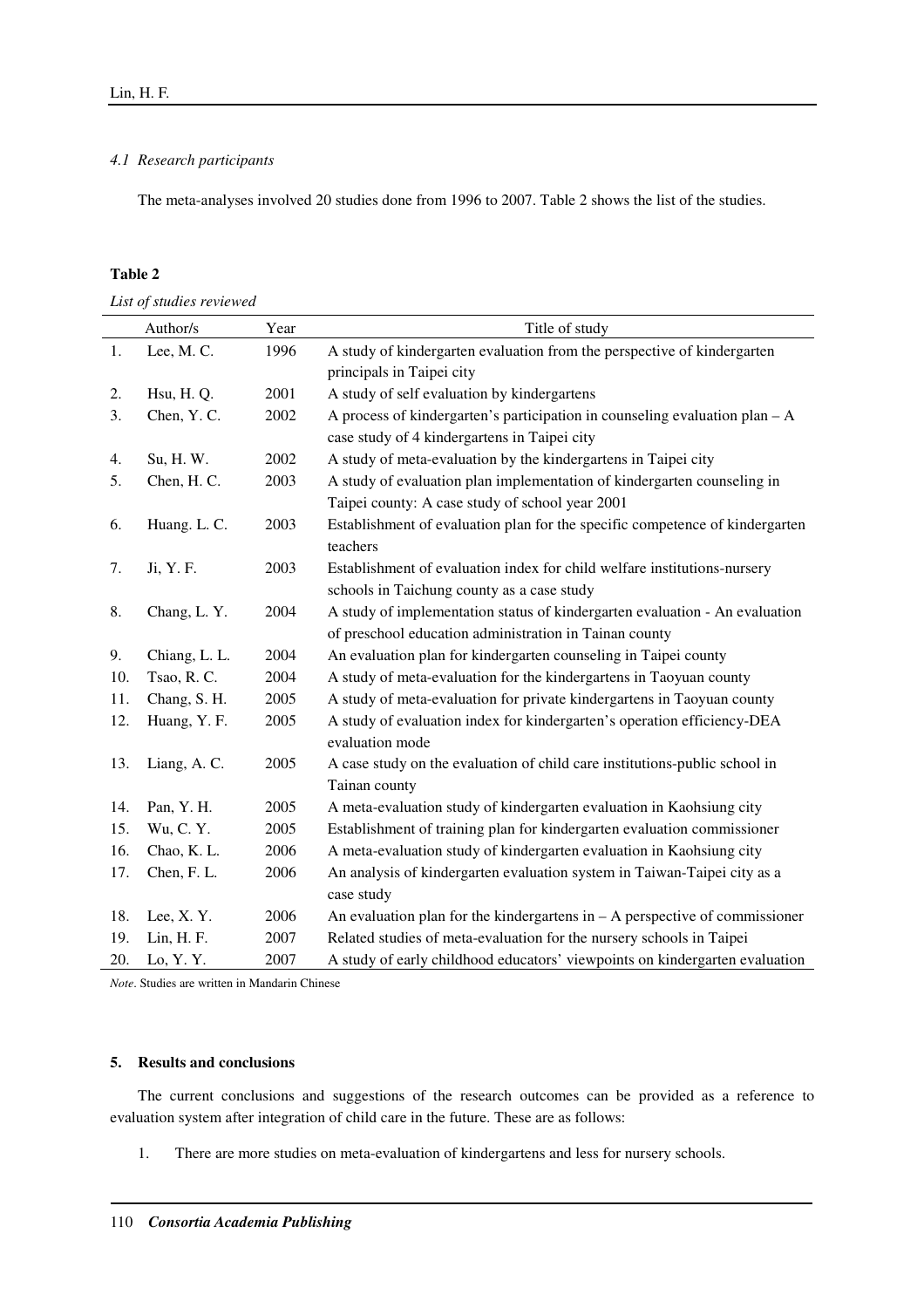# *4.1 Research participants*

The meta-analyses involved 20 studies done from 1996 to 2007. Table 2 shows the list of the studies.

# **Table 2**

*List of studies reviewed* 

|     | Author/s      | Year | Title of study                                                                |  |
|-----|---------------|------|-------------------------------------------------------------------------------|--|
| 1.  | Lee, M.C.     | 1996 | A study of kindergarten evaluation from the perspective of kindergarten       |  |
|     |               |      | principals in Taipei city                                                     |  |
| 2.  | Hsu, H.Q.     | 2001 | A study of self evaluation by kindergartens                                   |  |
| 3.  | Chen, Y.C.    | 2002 | A process of kindergarten's participation in counseling evaluation plan $-A$  |  |
|     |               |      | case study of 4 kindergartens in Taipei city                                  |  |
| 4.  | Su, H. W.     | 2002 | A study of meta-evaluation by the kindergartens in Taipei city                |  |
| 5.  | Chen, H.C.    | 2003 | A study of evaluation plan implementation of kindergarten counseling in       |  |
|     |               |      | Taipei county: A case study of school year 2001                               |  |
| 6.  | Huang. L. C.  | 2003 | Establishment of evaluation plan for the specific competence of kindergarten  |  |
|     |               |      | teachers                                                                      |  |
| 7.  | Ji, Y. F.     | 2003 | Establishment of evaluation index for child welfare institutions-nursery      |  |
|     |               |      | schools in Taichung county as a case study                                    |  |
| 8.  | Chang, L.Y.   | 2004 | A study of implementation status of kindergarten evaluation - An evaluation   |  |
|     |               |      | of preschool education administration in Tainan county                        |  |
| 9.  | Chiang, L. L. | 2004 | An evaluation plan for kindergarten counseling in Taipei county               |  |
| 10. | Tsao, R.C.    | 2004 | A study of meta-evaluation for the kindergartens in Taoyuan county            |  |
| 11. | Chang, S. H.  | 2005 | A study of meta-evaluation for private kindergartens in Taoyuan county        |  |
| 12. | Huang, Y. F.  | 2005 | A study of evaluation index for kindergarten's operation efficiency-DEA       |  |
|     |               |      | evaluation mode                                                               |  |
| 13. | Liang, A. C.  | 2005 | A case study on the evaluation of child care institutions-public school in    |  |
|     |               |      | Tainan county                                                                 |  |
| 14. | Pan, Y. H.    | 2005 | A meta-evaluation study of kindergarten evaluation in Kaohsiung city          |  |
| 15. | Wu, C. Y.     | 2005 | Establishment of training plan for kindergarten evaluation commissioner       |  |
| 16. | Chao, K.L.    | 2006 | A meta-evaluation study of kindergarten evaluation in Kaohsiung city          |  |
| 17. | Chen, F. L.   | 2006 | An analysis of kindergarten evaluation system in Taiwan-Taipei city as a      |  |
|     |               |      | case study                                                                    |  |
| 18. | Lee, X.Y.     | 2006 | An evaluation plan for the kindergartens in $- A$ perspective of commissioner |  |
| 19. | Lin, H. F.    | 2007 | Related studies of meta-evaluation for the nursery schools in Taipei          |  |
| 20. | Lo, Y.Y       | 2007 | A study of early childhood educators' viewpoints on kindergarten evaluation   |  |

*Note*. Studies are written in Mandarin Chinese

# **5. Results and conclusions**

The current conclusions and suggestions of the research outcomes can be provided as a reference to evaluation system after integration of child care in the future. These are as follows:

1. There are more studies on meta-evaluation of kindergartens and less for nursery schools.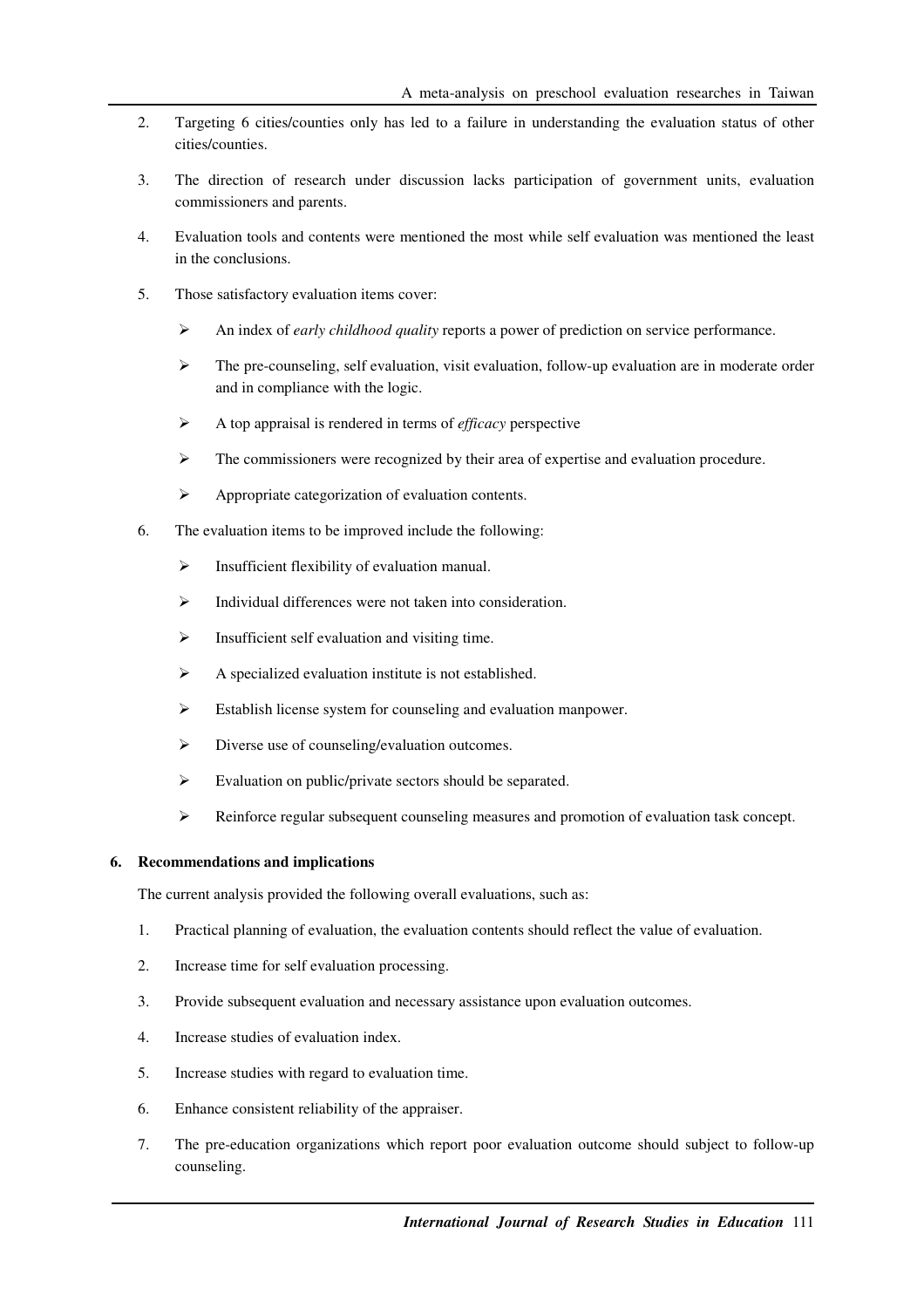- 2. Targeting 6 cities/counties only has led to a failure in understanding the evaluation status of other cities/counties.
- 3. The direction of research under discussion lacks participation of government units, evaluation commissioners and parents.
- 4. Evaluation tools and contents were mentioned the most while self evaluation was mentioned the least in the conclusions.
- 5. Those satisfactory evaluation items cover:
	- An index of *early childhood quality* reports a power of prediction on service performance.
	- $\triangleright$  The pre-counseling, self evaluation, visit evaluation, follow-up evaluation are in moderate order and in compliance with the logic.
	- A top appraisal is rendered in terms of *efficacy* perspective
	- $\triangleright$  The commissioners were recognized by their area of expertise and evaluation procedure.
	- Appropriate categorization of evaluation contents.
- 6. The evaluation items to be improved include the following:
	- $\triangleright$  Insufficient flexibility of evaluation manual.
	- $\triangleright$  Individual differences were not taken into consideration.
	- $\triangleright$  Insufficient self evaluation and visiting time.
	- A specialized evaluation institute is not established.
	- Establish license system for counseling and evaluation manpower.
	- $\triangleright$  Diverse use of counseling/evaluation outcomes.
	- Evaluation on public/private sectors should be separated.
	- Reinforce regular subsequent counseling measures and promotion of evaluation task concept.

# **6. Recommendations and implications**

The current analysis provided the following overall evaluations, such as:

- 1. Practical planning of evaluation, the evaluation contents should reflect the value of evaluation.
- 2. Increase time for self evaluation processing.
- 3. Provide subsequent evaluation and necessary assistance upon evaluation outcomes.
- 4. Increase studies of evaluation index.
- 5. Increase studies with regard to evaluation time.
- 6. Enhance consistent reliability of the appraiser.
- 7. The pre-education organizations which report poor evaluation outcome should subject to follow-up counseling.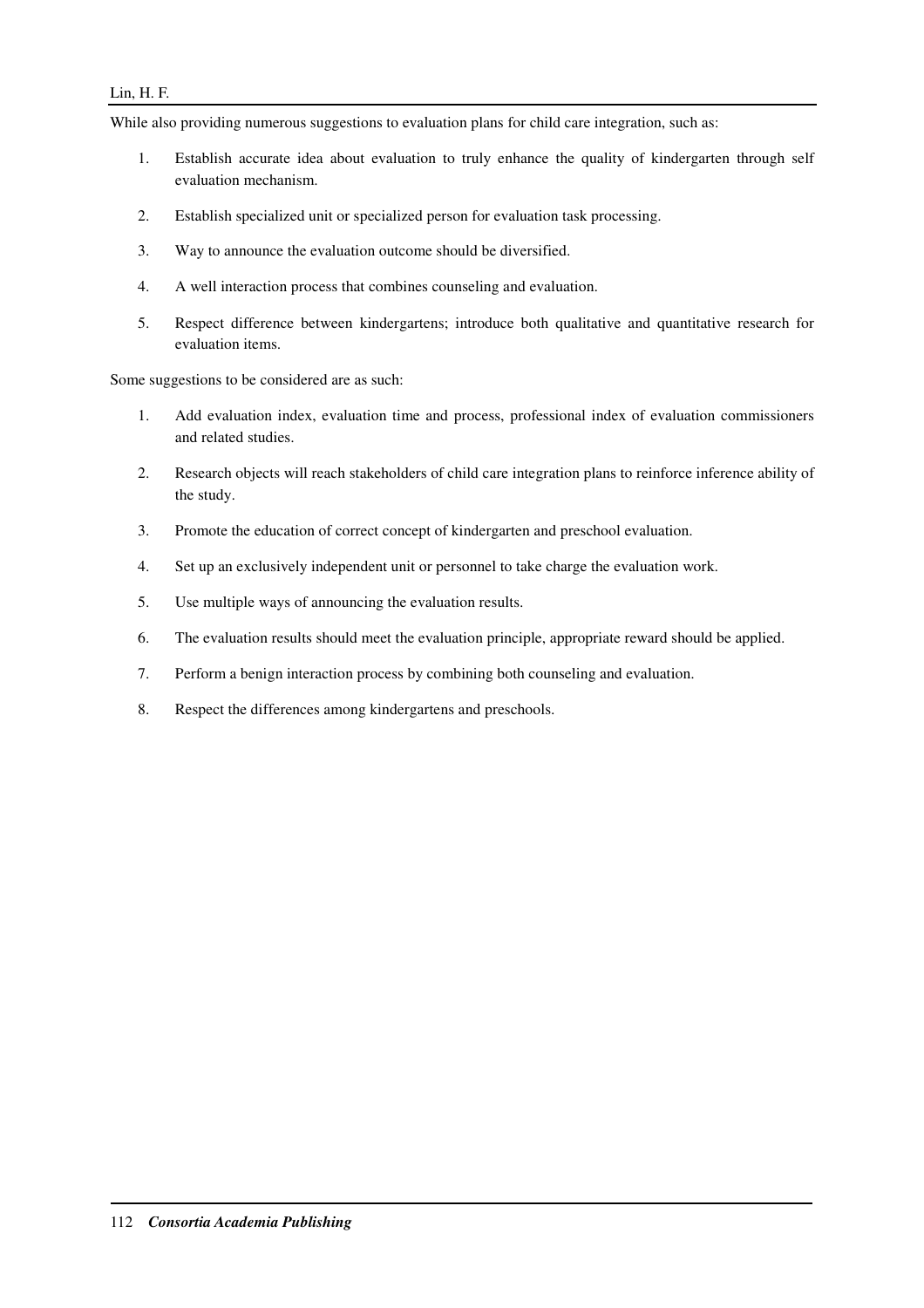# Lin, H. F.

While also providing numerous suggestions to evaluation plans for child care integration, such as:

- 1. Establish accurate idea about evaluation to truly enhance the quality of kindergarten through self evaluation mechanism.
- 2. Establish specialized unit or specialized person for evaluation task processing.
- 3. Way to announce the evaluation outcome should be diversified.
- 4. A well interaction process that combines counseling and evaluation.
- 5. Respect difference between kindergartens; introduce both qualitative and quantitative research for evaluation items.

Some suggestions to be considered are as such:

- 1. Add evaluation index, evaluation time and process, professional index of evaluation commissioners and related studies.
- 2. Research objects will reach stakeholders of child care integration plans to reinforce inference ability of the study.
- 3. Promote the education of correct concept of kindergarten and preschool evaluation.
- 4. Set up an exclusively independent unit or personnel to take charge the evaluation work.
- 5. Use multiple ways of announcing the evaluation results.
- 6. The evaluation results should meet the evaluation principle, appropriate reward should be applied.
- 7. Perform a benign interaction process by combining both counseling and evaluation.
- 8. Respect the differences among kindergartens and preschools.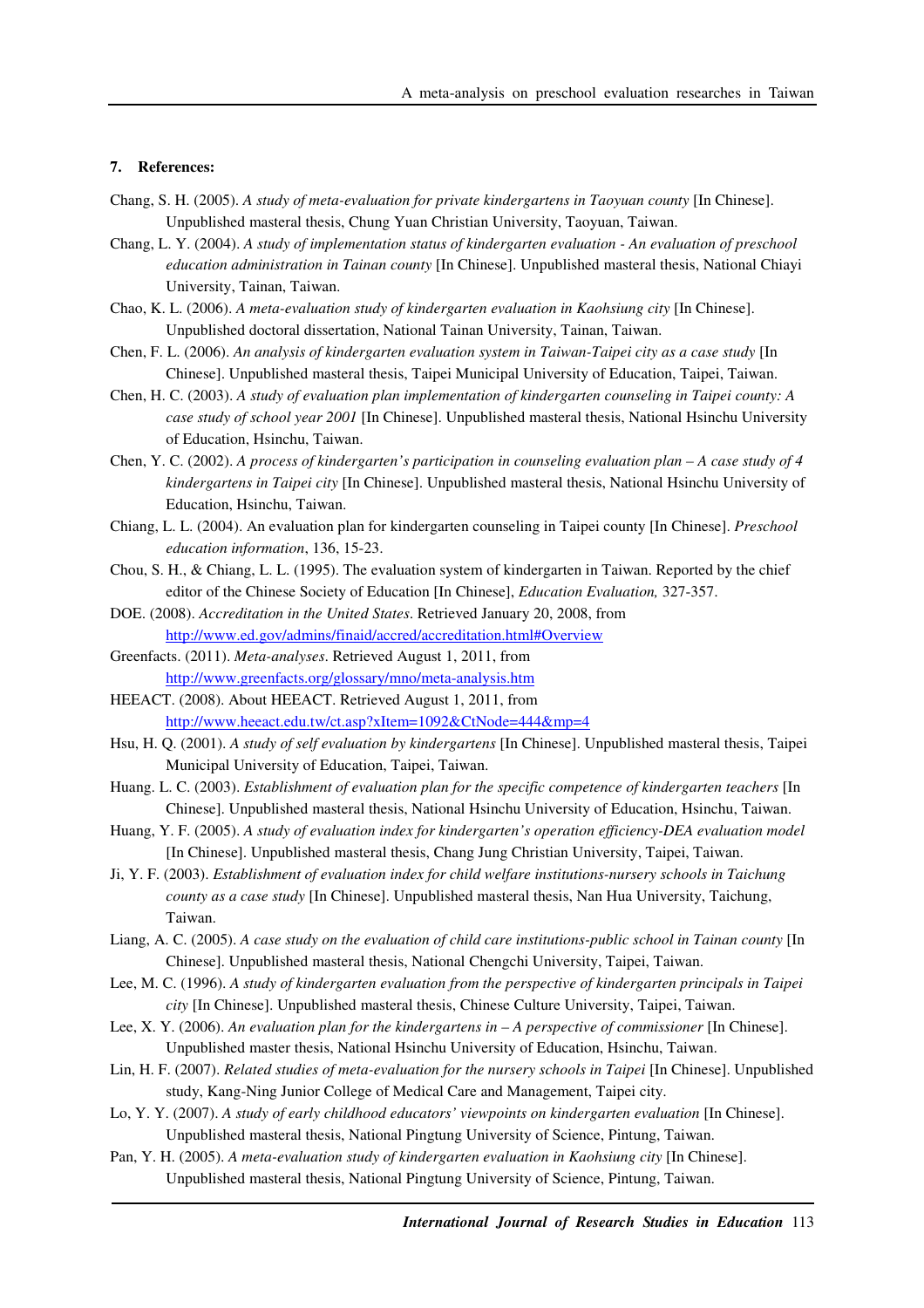## **7. References:**

- Chang, S. H. (2005). *A study of meta-evaluation for private kindergartens in Taoyuan county* [In Chinese]. Unpublished masteral thesis, Chung Yuan Christian University, Taoyuan, Taiwan.
- Chang, L. Y. (2004). *A study of implementation status of kindergarten evaluation An evaluation of preschool education administration in Tainan county* [In Chinese]. Unpublished masteral thesis, National Chiayi University, Tainan, Taiwan.
- Chao, K. L. (2006). *A meta-evaluation study of kindergarten evaluation in Kaohsiung city* [In Chinese]. Unpublished doctoral dissertation, National Tainan University, Tainan, Taiwan.
- Chen, F. L. (2006). *An analysis of kindergarten evaluation system in Taiwan-Taipei city as a case study* [In Chinese]. Unpublished masteral thesis, Taipei Municipal University of Education, Taipei, Taiwan.
- Chen, H. C. (2003). *A study of evaluation plan implementation of kindergarten counseling in Taipei county: A case study of school year 2001* [In Chinese]. Unpublished masteral thesis, National Hsinchu University of Education, Hsinchu, Taiwan.
- Chen, Y. C. (2002). *A process of kindergarten's participation in counseling evaluation plan A case study of 4 kindergartens in Taipei city* [In Chinese]. Unpublished masteral thesis, National Hsinchu University of Education, Hsinchu, Taiwan.
- Chiang, L. L. (2004). An evaluation plan for kindergarten counseling in Taipei county [In Chinese]. *Preschool education information*, 136, 15-23.
- Chou, S. H., & Chiang, L. L. (1995). The evaluation system of kindergarten in Taiwan. Reported by the chief editor of the Chinese Society of Education [In Chinese], *Education Evaluation,* 327-357.
- DOE. (2008). *Accreditation in the United States*. Retrieved January 20, 2008, from http://www.ed.gov/admins/finaid/accred/accreditation.html#Overview
- Greenfacts. (2011). *Meta-analyses*. Retrieved August 1, 2011, from http://www.greenfacts.org/glossary/mno/meta-analysis.htm
- HEEACT. (2008). About HEEACT. Retrieved August 1, 2011, from http://www.heeact.edu.tw/ct.asp?xItem=1092&CtNode=444&mp=4
- Hsu, H. Q. (2001). *A study of self evaluation by kindergartens* [In Chinese]. Unpublished masteral thesis, Taipei Municipal University of Education, Taipei, Taiwan.
- Huang. L. C. (2003). *Establishment of evaluation plan for the specific competence of kindergarten teachers* [In Chinese]. Unpublished masteral thesis, National Hsinchu University of Education, Hsinchu, Taiwan.
- Huang, Y. F. (2005). *A study of evaluation index for kindergarten's operation efficiency-DEA evaluation model*  [In Chinese]. Unpublished masteral thesis, Chang Jung Christian University, Taipei, Taiwan.
- Ji, Y. F. (2003). *Establishment of evaluation index for child welfare institutions-nursery schools in Taichung county as a case study* [In Chinese]. Unpublished masteral thesis, Nan Hua University, Taichung, Taiwan.
- Liang, A. C. (2005). *A case study on the evaluation of child care institutions-public school in Tainan county* [In Chinese]. Unpublished masteral thesis, National Chengchi University, Taipei, Taiwan.
- Lee, M. C. (1996). *A study of kindergarten evaluation from the perspective of kindergarten principals in Taipei city* [In Chinese]. Unpublished masteral thesis, Chinese Culture University, Taipei, Taiwan.
- Lee, X. Y. (2006). *An evaluation plan for the kindergartens in A perspective of commissioner* [In Chinese]. Unpublished master thesis, National Hsinchu University of Education, Hsinchu, Taiwan.
- Lin, H. F. (2007). *Related studies of meta-evaluation for the nursery schools in Taipei* [In Chinese]. Unpublished study, Kang-Ning Junior College of Medical Care and Management, Taipei city.
- Lo, Y. Y. (2007). *A study of early childhood educators' viewpoints on kindergarten evaluation* [In Chinese]. Unpublished masteral thesis, National Pingtung University of Science, Pintung, Taiwan.
- Pan, Y. H. (2005). *A meta-evaluation study of kindergarten evaluation in Kaohsiung city* [In Chinese]. Unpublished masteral thesis, National Pingtung University of Science, Pintung, Taiwan.